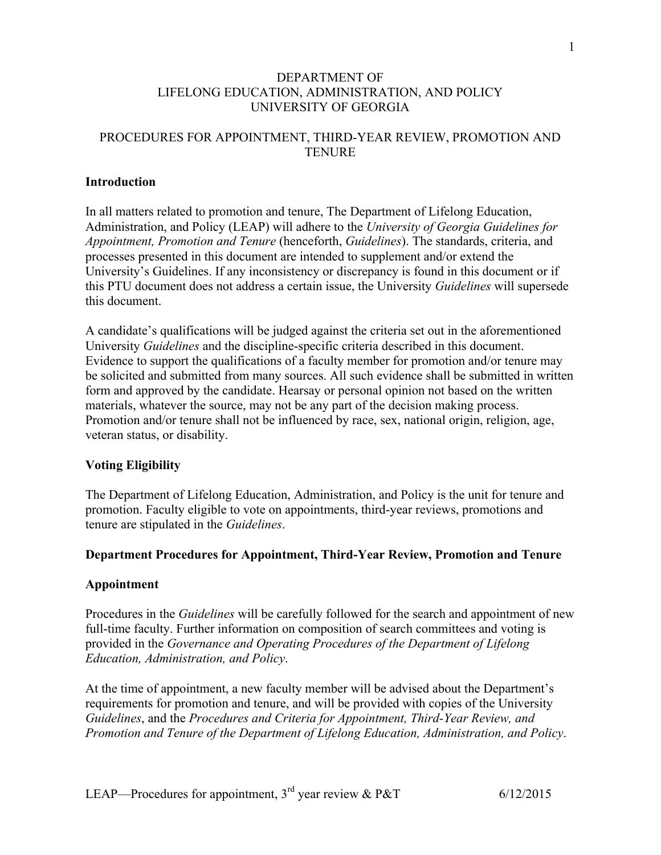## DEPARTMENT OF LIFELONG EDUCATION, ADMINISTRATION, AND POLICY UNIVERSITY OF GEORGIA

# PROCEDURES FOR APPOINTMENT, THIRD-YEAR REVIEW, PROMOTION AND **TENURE**

## **Introduction**

In all matters related to promotion and tenure, The Department of Lifelong Education, Administration, and Policy (LEAP) will adhere to the *University of Georgia Guidelines for Appointment, Promotion and Tenure* (henceforth, *Guidelines*). The standards, criteria, and processes presented in this document are intended to supplement and/or extend the University's Guidelines. If any inconsistency or discrepancy is found in this document or if this PTU document does not address a certain issue, the University *Guidelines* will supersede this document.

A candidate's qualifications will be judged against the criteria set out in the aforementioned University *Guidelines* and the discipline-specific criteria described in this document. Evidence to support the qualifications of a faculty member for promotion and/or tenure may be solicited and submitted from many sources. All such evidence shall be submitted in written form and approved by the candidate. Hearsay or personal opinion not based on the written materials, whatever the source, may not be any part of the decision making process. Promotion and/or tenure shall not be influenced by race, sex, national origin, religion, age, veteran status, or disability.

## **Voting Eligibility**

The Department of Lifelong Education, Administration, and Policy is the unit for tenure and promotion. Faculty eligible to vote on appointments, third-year reviews, promotions and tenure are stipulated in the *Guidelines*.

## **Department Procedures for Appointment, Third-Year Review, Promotion and Tenure**

## **Appointment**

Procedures in the *Guidelines* will be carefully followed for the search and appointment of new full-time faculty. Further information on composition of search committees and voting is provided in the *Governance and Operating Procedures of the Department of Lifelong Education, Administration, and Policy*.

At the time of appointment, a new faculty member will be advised about the Department's requirements for promotion and tenure, and will be provided with copies of the University *Guidelines*, and the *Procedures and Criteria for Appointment, Third-Year Review, and Promotion and Tenure of the Department of Lifelong Education, Administration, and Policy*.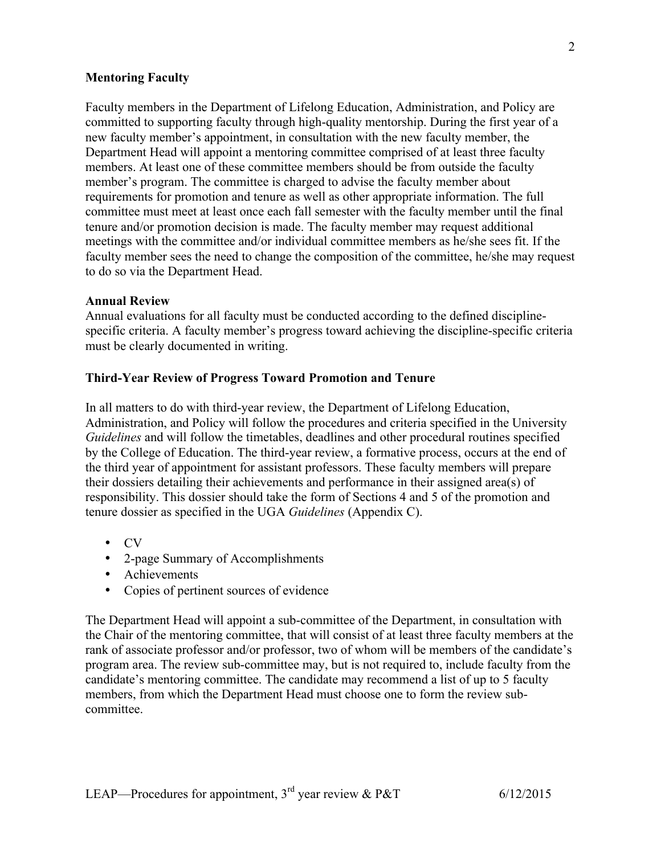## **Mentoring Faculty**

Faculty members in the Department of Lifelong Education, Administration, and Policy are committed to supporting faculty through high-quality mentorship. During the first year of a new faculty member's appointment, in consultation with the new faculty member, the Department Head will appoint a mentoring committee comprised of at least three faculty members. At least one of these committee members should be from outside the faculty member's program. The committee is charged to advise the faculty member about requirements for promotion and tenure as well as other appropriate information. The full committee must meet at least once each fall semester with the faculty member until the final tenure and/or promotion decision is made. The faculty member may request additional meetings with the committee and/or individual committee members as he/she sees fit. If the faculty member sees the need to change the composition of the committee, he/she may request to do so via the Department Head.

#### **Annual Review**

Annual evaluations for all faculty must be conducted according to the defined disciplinespecific criteria. A faculty member's progress toward achieving the discipline-specific criteria must be clearly documented in writing.

## **Third-Year Review of Progress Toward Promotion and Tenure**

In all matters to do with third-year review, the Department of Lifelong Education, Administration, and Policy will follow the procedures and criteria specified in the University *Guidelines* and will follow the timetables, deadlines and other procedural routines specified by the College of Education. The third-year review, a formative process, occurs at the end of the third year of appointment for assistant professors. These faculty members will prepare their dossiers detailing their achievements and performance in their assigned area(s) of responsibility. This dossier should take the form of Sections 4 and 5 of the promotion and tenure dossier as specified in the UGA *Guidelines* (Appendix C).

- CV
- 2-page Summary of Accomplishments
- Achievements
- Copies of pertinent sources of evidence

The Department Head will appoint a sub-committee of the Department, in consultation with the Chair of the mentoring committee, that will consist of at least three faculty members at the rank of associate professor and/or professor, two of whom will be members of the candidate's program area. The review sub-committee may, but is not required to, include faculty from the candidate's mentoring committee. The candidate may recommend a list of up to 5 faculty members, from which the Department Head must choose one to form the review subcommittee.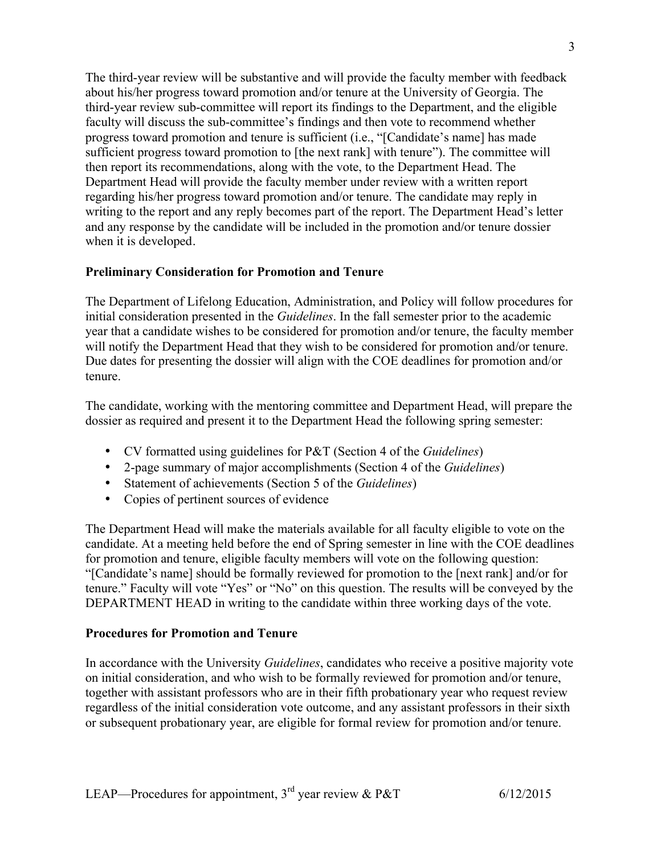The third-year review will be substantive and will provide the faculty member with feedback about his/her progress toward promotion and/or tenure at the University of Georgia. The third-year review sub-committee will report its findings to the Department, and the eligible faculty will discuss the sub-committee's findings and then vote to recommend whether progress toward promotion and tenure is sufficient (i.e., "[Candidate's name] has made sufficient progress toward promotion to [the next rank] with tenure"). The committee will then report its recommendations, along with the vote, to the Department Head. The Department Head will provide the faculty member under review with a written report regarding his/her progress toward promotion and/or tenure. The candidate may reply in writing to the report and any reply becomes part of the report. The Department Head's letter and any response by the candidate will be included in the promotion and/or tenure dossier when it is developed.

# **Preliminary Consideration for Promotion and Tenure**

The Department of Lifelong Education, Administration, and Policy will follow procedures for initial consideration presented in the *Guidelines*. In the fall semester prior to the academic year that a candidate wishes to be considered for promotion and/or tenure, the faculty member will notify the Department Head that they wish to be considered for promotion and/or tenure. Due dates for presenting the dossier will align with the COE deadlines for promotion and/or tenure.

The candidate, working with the mentoring committee and Department Head, will prepare the dossier as required and present it to the Department Head the following spring semester:

- CV formatted using guidelines for P&T (Section 4 of the *Guidelines*)
- 2-page summary of major accomplishments (Section 4 of the *Guidelines*)
- Statement of achievements (Section 5 of the *Guidelines*)
- Copies of pertinent sources of evidence

The Department Head will make the materials available for all faculty eligible to vote on the candidate. At a meeting held before the end of Spring semester in line with the COE deadlines for promotion and tenure, eligible faculty members will vote on the following question: "[Candidate's name] should be formally reviewed for promotion to the [next rank] and/or for tenure." Faculty will vote "Yes" or "No" on this question. The results will be conveyed by the DEPARTMENT HEAD in writing to the candidate within three working days of the vote.

## **Procedures for Promotion and Tenure**

In accordance with the University *Guidelines*, candidates who receive a positive majority vote on initial consideration, and who wish to be formally reviewed for promotion and/or tenure, together with assistant professors who are in their fifth probationary year who request review regardless of the initial consideration vote outcome, and any assistant professors in their sixth or subsequent probationary year, are eligible for formal review for promotion and/or tenure.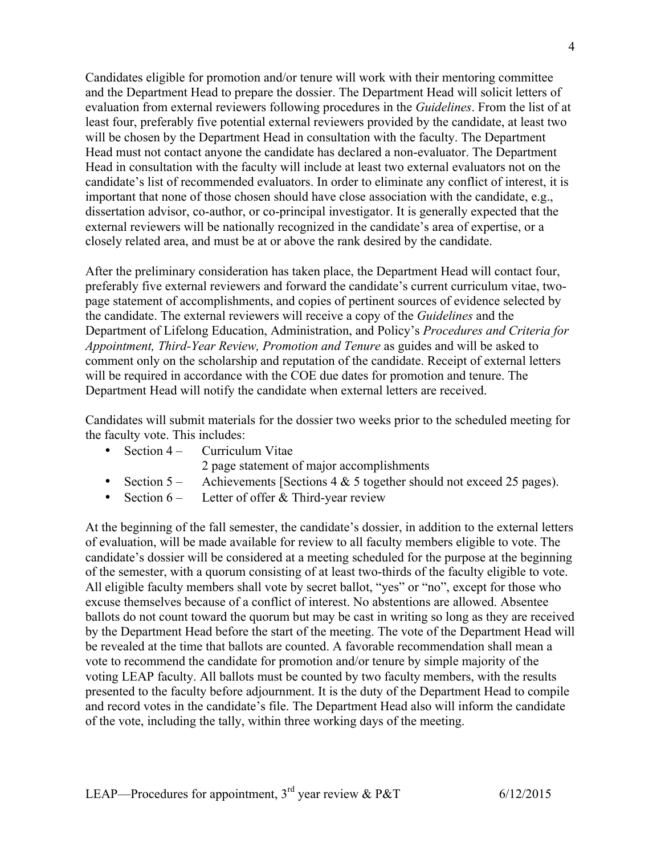Candidates eligible for promotion and/or tenure will work with their mentoring committee and the Department Head to prepare the dossier. The Department Head will solicit letters of evaluation from external reviewers following procedures in the *Guidelines*. From the list of at least four, preferably five potential external reviewers provided by the candidate, at least two will be chosen by the Department Head in consultation with the faculty. The Department Head must not contact anyone the candidate has declared a non-evaluator. The Department Head in consultation with the faculty will include at least two external evaluators not on the candidate's list of recommended evaluators. In order to eliminate any conflict of interest, it is important that none of those chosen should have close association with the candidate, e.g., dissertation advisor, co-author, or co-principal investigator. It is generally expected that the external reviewers will be nationally recognized in the candidate's area of expertise, or a closely related area, and must be at or above the rank desired by the candidate.

After the preliminary consideration has taken place, the Department Head will contact four, preferably five external reviewers and forward the candidate's current curriculum vitae, twopage statement of accomplishments, and copies of pertinent sources of evidence selected by the candidate. The external reviewers will receive a copy of the *Guidelines* and the Department of Lifelong Education, Administration, and Policy's *Procedures and Criteria for Appointment, Third-Year Review, Promotion and Tenure* as guides and will be asked to comment only on the scholarship and reputation of the candidate. Receipt of external letters will be required in accordance with the COE due dates for promotion and tenure. The Department Head will notify the candidate when external letters are received.

Candidates will submit materials for the dossier two weeks prior to the scheduled meeting for the faculty vote. This includes:

|                                                                                                                                                                                                                                                                                                                                                                                                                                                                                            | • Section $4 -$ Curriculum Vitae                                                                          |
|--------------------------------------------------------------------------------------------------------------------------------------------------------------------------------------------------------------------------------------------------------------------------------------------------------------------------------------------------------------------------------------------------------------------------------------------------------------------------------------------|-----------------------------------------------------------------------------------------------------------|
|                                                                                                                                                                                                                                                                                                                                                                                                                                                                                            | 2 page statement of major accomplishments                                                                 |
|                                                                                                                                                                                                                                                                                                                                                                                                                                                                                            | • Section $5 -$ Achievements [Sections 4 & 5 together should not exceed 25 pages).                        |
| $\blacksquare$ $\blacksquare$ $\blacksquare$ $\blacksquare$ $\blacksquare$ $\blacksquare$ $\blacksquare$ $\blacksquare$ $\blacksquare$ $\blacksquare$ $\blacksquare$ $\blacksquare$ $\blacksquare$ $\blacksquare$ $\blacksquare$ $\blacksquare$ $\blacksquare$ $\blacksquare$ $\blacksquare$ $\blacksquare$ $\blacksquare$ $\blacksquare$ $\blacksquare$ $\blacksquare$ $\blacksquare$ $\blacksquare$ $\blacksquare$ $\blacksquare$ $\blacksquare$ $\blacksquare$ $\blacksquare$ $\blacks$ | $\Gamma$ -44-y - $\Gamma$ - $\Gamma$ , $\Gamma$ , $\rho$ - $\Gamma$ 1, $\Gamma$ , $\Gamma$ ----y $\Gamma$ |

• Section 6 – Letter of offer & Third-year review

At the beginning of the fall semester, the candidate's dossier, in addition to the external letters of evaluation, will be made available for review to all faculty members eligible to vote. The candidate's dossier will be considered at a meeting scheduled for the purpose at the beginning of the semester, with a quorum consisting of at least two-thirds of the faculty eligible to vote. All eligible faculty members shall vote by secret ballot, "yes" or "no", except for those who excuse themselves because of a conflict of interest. No abstentions are allowed. Absentee ballots do not count toward the quorum but may be cast in writing so long as they are received by the Department Head before the start of the meeting. The vote of the Department Head will be revealed at the time that ballots are counted. A favorable recommendation shall mean a vote to recommend the candidate for promotion and/or tenure by simple majority of the voting LEAP faculty. All ballots must be counted by two faculty members, with the results presented to the faculty before adjournment. It is the duty of the Department Head to compile and record votes in the candidate's file. The Department Head also will inform the candidate of the vote, including the tally, within three working days of the meeting.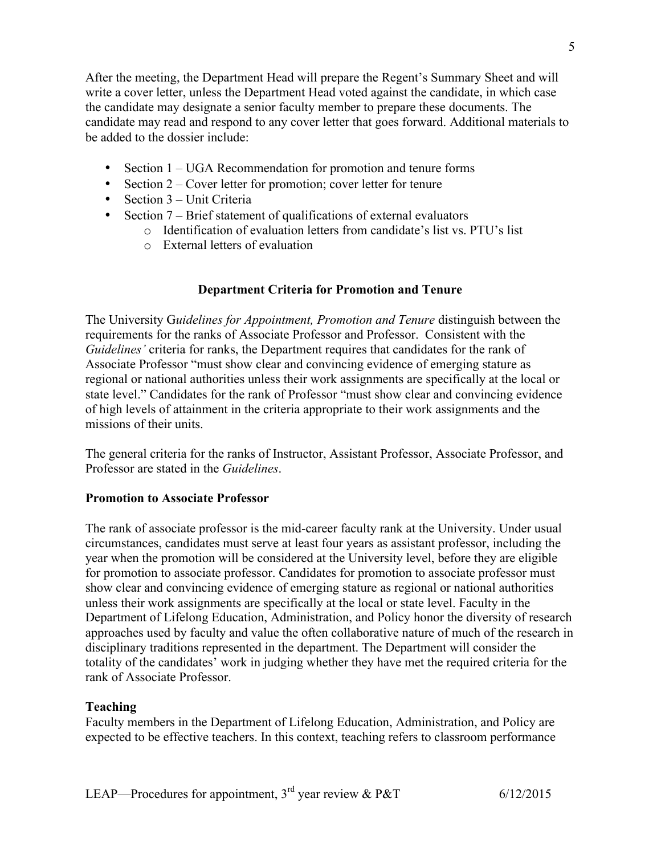After the meeting, the Department Head will prepare the Regent's Summary Sheet and will write a cover letter, unless the Department Head voted against the candidate, in which case the candidate may designate a senior faculty member to prepare these documents. The candidate may read and respond to any cover letter that goes forward. Additional materials to be added to the dossier include:

- Section 1 UGA Recommendation for promotion and tenure forms
- Section 2 Cover letter for promotion; cover letter for tenure
- Section 3 Unit Criteria
- Section 7 Brief statement of qualifications of external evaluators
	- o Identification of evaluation letters from candidate's list vs. PTU's list
	- o External letters of evaluation

# **Department Criteria for Promotion and Tenure**

The University G*uidelines for Appointment, Promotion and Tenure* distinguish between the requirements for the ranks of Associate Professor and Professor. Consistent with the *Guidelines'* criteria for ranks, the Department requires that candidates for the rank of Associate Professor "must show clear and convincing evidence of emerging stature as regional or national authorities unless their work assignments are specifically at the local or state level." Candidates for the rank of Professor "must show clear and convincing evidence of high levels of attainment in the criteria appropriate to their work assignments and the missions of their units.

The general criteria for the ranks of Instructor, Assistant Professor, Associate Professor, and Professor are stated in the *Guidelines*.

## **Promotion to Associate Professor**

The rank of associate professor is the mid-career faculty rank at the University. Under usual circumstances, candidates must serve at least four years as assistant professor, including the year when the promotion will be considered at the University level, before they are eligible for promotion to associate professor. Candidates for promotion to associate professor must show clear and convincing evidence of emerging stature as regional or national authorities unless their work assignments are specifically at the local or state level. Faculty in the Department of Lifelong Education, Administration, and Policy honor the diversity of research approaches used by faculty and value the often collaborative nature of much of the research in disciplinary traditions represented in the department. The Department will consider the totality of the candidates' work in judging whether they have met the required criteria for the rank of Associate Professor.

## **Teaching**

Faculty members in the Department of Lifelong Education, Administration, and Policy are expected to be effective teachers. In this context, teaching refers to classroom performance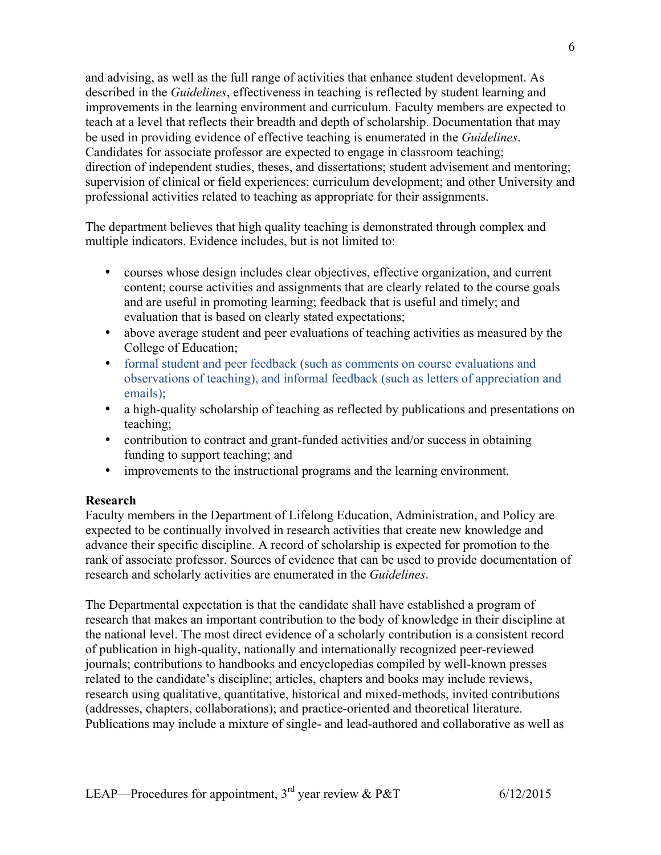and advising, as well as the full range of activities that enhance student development. As described in the *Guidelines*, effectiveness in teaching is reflected by student learning and improvements in the learning environment and curriculum. Faculty members are expected to teach at a level that reflects their breadth and depth of scholarship. Documentation that may be used in providing evidence of effective teaching is enumerated in the *Guidelines*. Candidates for associate professor are expected to engage in classroom teaching; direction of independent studies, theses, and dissertations; student advisement and mentoring; supervision of clinical or field experiences; curriculum development; and other University and professional activities related to teaching as appropriate for their assignments.

The department believes that high quality teaching is demonstrated through complex and multiple indicators. Evidence includes, but is not limited to:

- courses whose design includes clear objectives, effective organization, and current content; course activities and assignments that are clearly related to the course goals and are useful in promoting learning; feedback that is useful and timely; and evaluation that is based on clearly stated expectations;
- above average student and peer evaluations of teaching activities as measured by the College of Education;
- formal student and peer feedback (such as comments on course evaluations and observations of teaching), and informal feedback (such as letters of appreciation and emails);
- a high-quality scholarship of teaching as reflected by publications and presentations on teaching;
- contribution to contract and grant-funded activities and/or success in obtaining funding to support teaching; and
- improvements to the instructional programs and the learning environment.

## **Research**

Faculty members in the Department of Lifelong Education, Administration, and Policy are expected to be continually involved in research activities that create new knowledge and advance their specific discipline. A record of scholarship is expected for promotion to the rank of associate professor. Sources of evidence that can be used to provide documentation of research and scholarly activities are enumerated in the *Guidelines*.

The Departmental expectation is that the candidate shall have established a program of research that makes an important contribution to the body of knowledge in their discipline at the national level. The most direct evidence of a scholarly contribution is a consistent record of publication in high-quality, nationally and internationally recognized peer-reviewed journals; contributions to handbooks and encyclopedias compiled by well-known presses related to the candidate's discipline; articles, chapters and books may include reviews, research using qualitative, quantitative, historical and mixed-methods, invited contributions (addresses, chapters, collaborations); and practice-oriented and theoretical literature. Publications may include a mixture of single- and lead-authored and collaborative as well as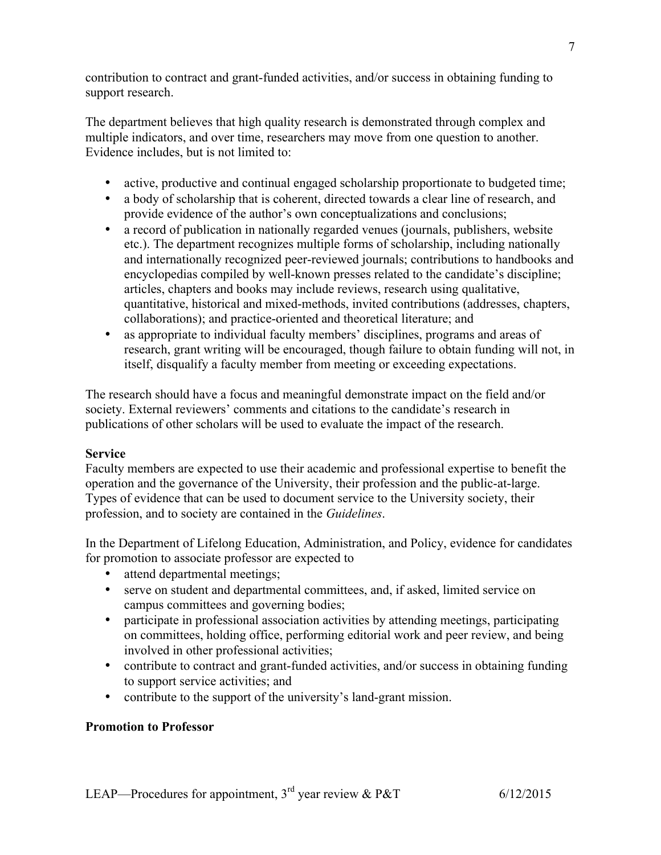contribution to contract and grant-funded activities, and/or success in obtaining funding to support research.

The department believes that high quality research is demonstrated through complex and multiple indicators, and over time, researchers may move from one question to another. Evidence includes, but is not limited to:

- active, productive and continual engaged scholarship proportionate to budgeted time;
- a body of scholarship that is coherent, directed towards a clear line of research, and provide evidence of the author's own conceptualizations and conclusions;
- a record of publication in nationally regarded venues (journals, publishers, website etc.). The department recognizes multiple forms of scholarship, including nationally and internationally recognized peer-reviewed journals; contributions to handbooks and encyclopedias compiled by well-known presses related to the candidate's discipline; articles, chapters and books may include reviews, research using qualitative, quantitative, historical and mixed-methods, invited contributions (addresses, chapters, collaborations); and practice-oriented and theoretical literature; and
- as appropriate to individual faculty members' disciplines, programs and areas of research, grant writing will be encouraged, though failure to obtain funding will not, in itself, disqualify a faculty member from meeting or exceeding expectations.

The research should have a focus and meaningful demonstrate impact on the field and/or society. External reviewers' comments and citations to the candidate's research in publications of other scholars will be used to evaluate the impact of the research.

## **Service**

Faculty members are expected to use their academic and professional expertise to benefit the operation and the governance of the University, their profession and the public-at-large. Types of evidence that can be used to document service to the University society, their profession, and to society are contained in the *Guidelines*.

In the Department of Lifelong Education, Administration, and Policy, evidence for candidates for promotion to associate professor are expected to

- attend departmental meetings;
- serve on student and departmental committees, and, if asked, limited service on campus committees and governing bodies;
- participate in professional association activities by attending meetings, participating on committees, holding office, performing editorial work and peer review, and being involved in other professional activities;
- contribute to contract and grant-funded activities, and/or success in obtaining funding to support service activities; and
- contribute to the support of the university's land-grant mission.

# **Promotion to Professor**

7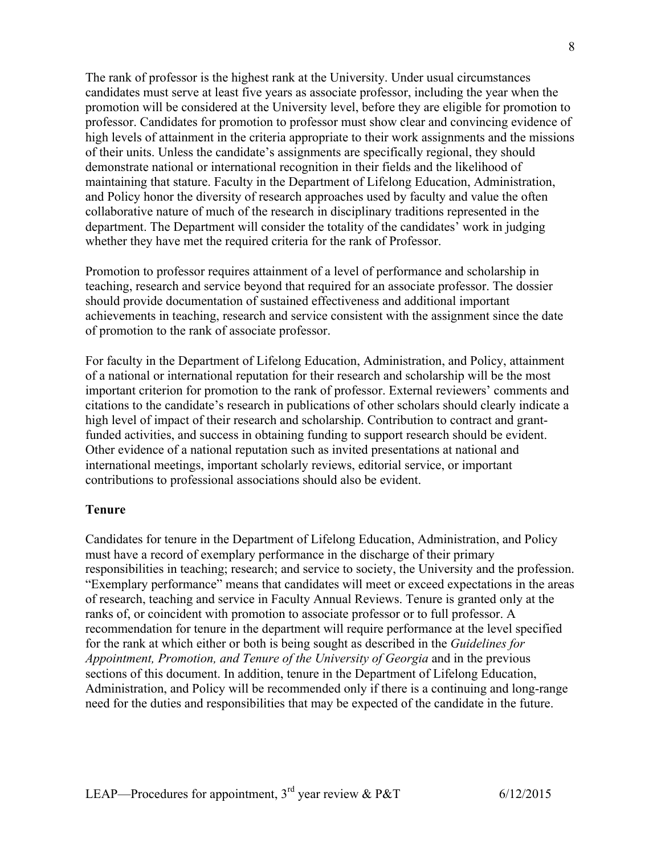The rank of professor is the highest rank at the University. Under usual circumstances candidates must serve at least five years as associate professor, including the year when the promotion will be considered at the University level, before they are eligible for promotion to professor. Candidates for promotion to professor must show clear and convincing evidence of high levels of attainment in the criteria appropriate to their work assignments and the missions of their units. Unless the candidate's assignments are specifically regional, they should demonstrate national or international recognition in their fields and the likelihood of maintaining that stature. Faculty in the Department of Lifelong Education, Administration, and Policy honor the diversity of research approaches used by faculty and value the often collaborative nature of much of the research in disciplinary traditions represented in the department. The Department will consider the totality of the candidates' work in judging whether they have met the required criteria for the rank of Professor.

Promotion to professor requires attainment of a level of performance and scholarship in teaching, research and service beyond that required for an associate professor. The dossier should provide documentation of sustained effectiveness and additional important achievements in teaching, research and service consistent with the assignment since the date of promotion to the rank of associate professor.

For faculty in the Department of Lifelong Education, Administration, and Policy, attainment of a national or international reputation for their research and scholarship will be the most important criterion for promotion to the rank of professor. External reviewers' comments and citations to the candidate's research in publications of other scholars should clearly indicate a high level of impact of their research and scholarship. Contribution to contract and grantfunded activities, and success in obtaining funding to support research should be evident. Other evidence of a national reputation such as invited presentations at national and international meetings, important scholarly reviews, editorial service, or important contributions to professional associations should also be evident.

## **Tenure**

Candidates for tenure in the Department of Lifelong Education, Administration, and Policy must have a record of exemplary performance in the discharge of their primary responsibilities in teaching; research; and service to society, the University and the profession. "Exemplary performance" means that candidates will meet or exceed expectations in the areas of research, teaching and service in Faculty Annual Reviews. Tenure is granted only at the ranks of, or coincident with promotion to associate professor or to full professor. A recommendation for tenure in the department will require performance at the level specified for the rank at which either or both is being sought as described in the *Guidelines for Appointment, Promotion, and Tenure of the University of Georgia* and in the previous sections of this document. In addition, tenure in the Department of Lifelong Education, Administration, and Policy will be recommended only if there is a continuing and long-range need for the duties and responsibilities that may be expected of the candidate in the future.